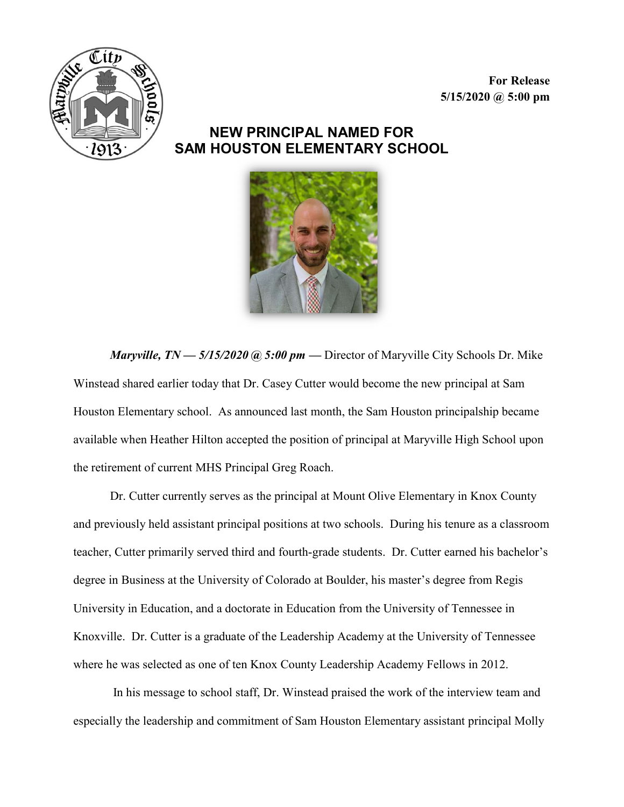For Release  $5/15/2020$  @  $5:00$  pm



## NEW PRINCIPAL NAMED FOR SAM HOUSTON ELEMENTARY SCHOOL



*Maryville, TN* —  $5/15/2020$  @  $5:00$  pm — Director of Maryville City Schools Dr. Mike Winstead shared earlier today that Dr. Casey Cutter would become the new principal at Sam Houston Elementary school. As announced last month, the Sam Houston principalship became available when Heather Hilton accepted the position of principal at Maryville High School upon the retirement of current MHS Principal Greg Roach.

Dr. Cutter currently serves as the principal at Mount Olive Elementary in Knox County and previously held assistant principal positions at two schools. During his tenure as a classroom teacher, Cutter primarily served third and fourth-grade students. Dr. Cutter earned his bachelor's degree in Business at the University of Colorado at Boulder, his master's degree from Regis University in Education, and a doctorate in Education from the University of Tennessee in Knoxville. Dr. Cutter is a graduate of the Leadership Academy at the University of Tennessee where he was selected as one of ten Knox County Leadership Academy Fellows in 2012.

 In his message to school staff, Dr. Winstead praised the work of the interview team and especially the leadership and commitment of Sam Houston Elementary assistant principal Molly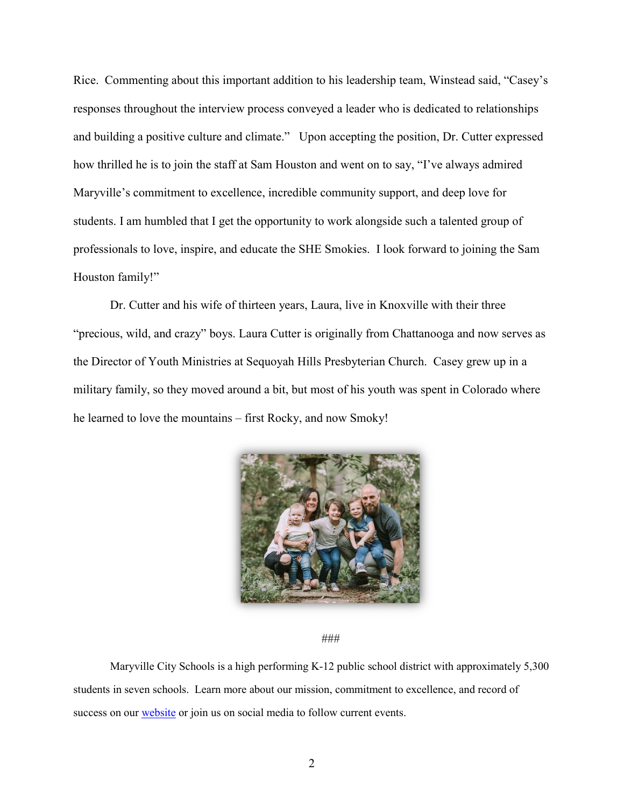Rice. Commenting about this important addition to his leadership team, Winstead said, "Casey's responses throughout the interview process conveyed a leader who is dedicated to relationships and building a positive culture and climate." Upon accepting the position, Dr. Cutter expressed how thrilled he is to join the staff at Sam Houston and went on to say, "I've always admired Maryville's commitment to excellence, incredible community support, and deep love for students. I am humbled that I get the opportunity to work alongside such a talented group of professionals to love, inspire, and educate the SHE Smokies. I look forward to joining the Sam Houston family!"

Dr. Cutter and his wife of thirteen years, Laura, live in Knoxville with their three "precious, wild, and crazy" boys. Laura Cutter is originally from Chattanooga and now serves as the Director of Youth Ministries at Sequoyah Hills Presbyterian Church. Casey grew up in a military family, so they moved around a bit, but most of his youth was spent in Colorado where he learned to love the mountains – first Rocky, and now Smoky!



###

Maryville City Schools is a high performing K-12 public school district with approximately 5,300 students in seven schools. Learn more about our mission, commitment to excellence, and record of success on our website or join us on social media to follow current events.